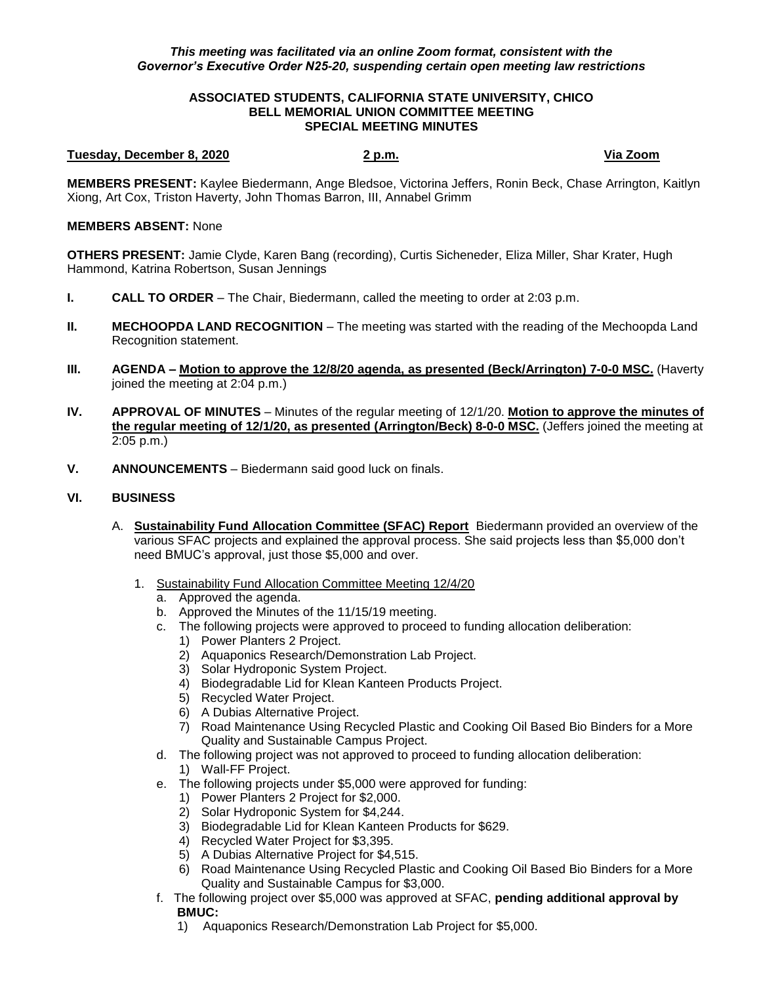# *This meeting was facilitated via an online Zoom format, consistent with the Governor's Executive Order N25-20, suspending certain open meeting law restrictions*

#### **ASSOCIATED STUDENTS, CALIFORNIA STATE UNIVERSITY, CHICO BELL MEMORIAL UNION COMMITTEE MEETING SPECIAL MEETING MINUTES**

# **Tuesday, December 8, 2020 2 p.m. Via Zoom**

**MEMBERS PRESENT:** Kaylee Biedermann, Ange Bledsoe, Victorina Jeffers, Ronin Beck, Chase Arrington, Kaitlyn Xiong, Art Cox, Triston Haverty, John Thomas Barron, III, Annabel Grimm

### **MEMBERS ABSENT:** None

**OTHERS PRESENT:** Jamie Clyde, Karen Bang (recording), Curtis Sicheneder, Eliza Miller, Shar Krater, Hugh Hammond, Katrina Robertson, Susan Jennings

- **I. CALL TO ORDER**  The Chair, Biedermann, called the meeting to order at 2:03 p.m.
- **II. MECHOOPDA LAND RECOGNITION** The meeting was started with the reading of the Mechoopda Land Recognition statement.
- **III. AGENDA – Motion to approve the 12/8/20 agenda, as presented (Beck/Arrington) 7-0-0 MSC.** (Haverty joined the meeting at 2:04 p.m.)
- **IV. APPROVAL OF MINUTES** Minutes of the regular meeting of 12/1/20. **Motion to approve the minutes of the regular meeting of 12/1/20, as presented (Arrington/Beck) 8-0-0 MSC.** (Jeffers joined the meeting at 2:05 p.m.)
- **V. ANNOUNCEMENTS** Biedermann said good luck on finals.

# **VI. BUSINESS**

- A. **Sustainability Fund Allocation Committee (SFAC) Report** Biedermann provided an overview of the various SFAC projects and explained the approval process. She said projects less than \$5,000 don't need BMUC's approval, just those \$5,000 and over.
	- 1. Sustainability Fund Allocation Committee Meeting 12/4/20
		- a. Approved the agenda.
		- b. Approved the Minutes of the 11/15/19 meeting.
		- c. The following projects were approved to proceed to funding allocation deliberation:
			- 1) Power Planters 2 Project.
			- 2) Aquaponics Research/Demonstration Lab Project.
			- 3) Solar Hydroponic System Project.
			- 4) Biodegradable Lid for Klean Kanteen Products Project.
			- 5) Recycled Water Project.
			- 6) A Dubias Alternative Project.
			- 7) Road Maintenance Using Recycled Plastic and Cooking Oil Based Bio Binders for a More Quality and Sustainable Campus Project.
		- d. The following project was not approved to proceed to funding allocation deliberation:
			- 1) Wall-FF Project.
		- e. The following projects under \$5,000 were approved for funding:
			- 1) Power Planters 2 Project for \$2,000.
			- 2) Solar Hydroponic System for \$4,244.
			- 3) Biodegradable Lid for Klean Kanteen Products for \$629.
			- 4) Recycled Water Project for \$3,395.
			- 5) A Dubias Alternative Project for \$4,515.
			- 6) Road Maintenance Using Recycled Plastic and Cooking Oil Based Bio Binders for a More Quality and Sustainable Campus for \$3,000.
		- f. The following project over \$5,000 was approved at SFAC, **pending additional approval by BMUC:**
			- 1) Aquaponics Research/Demonstration Lab Project for \$5,000.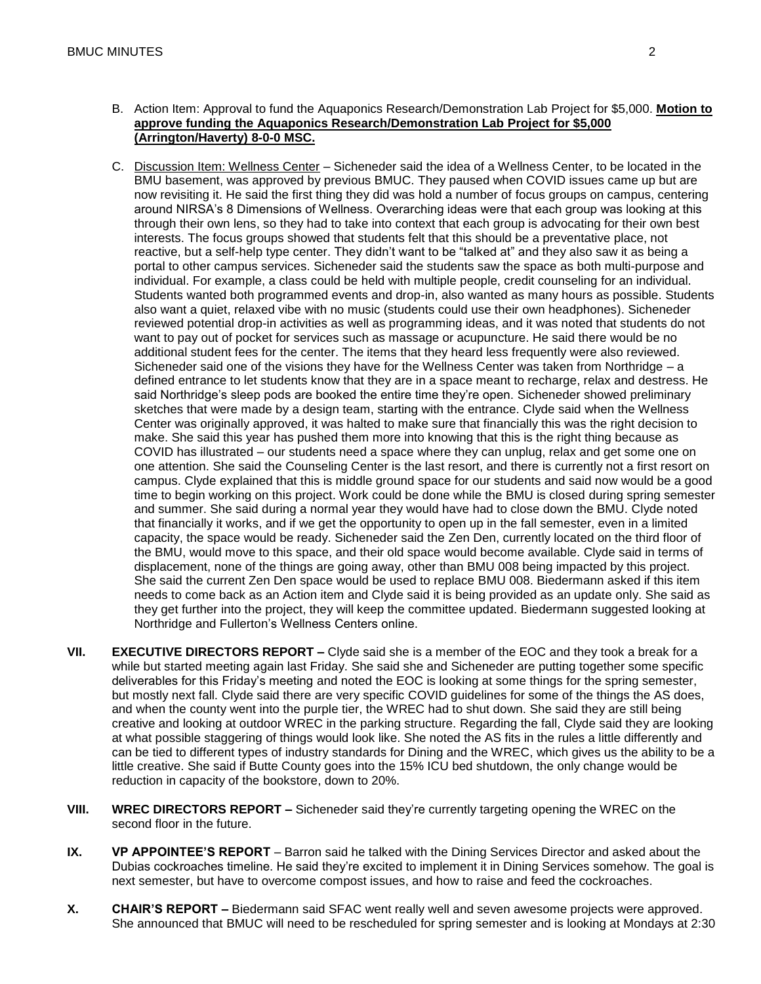- B. Action Item: Approval to fund the Aquaponics Research/Demonstration Lab Project for \$5,000. **Motion to approve funding the Aquaponics Research/Demonstration Lab Project for \$5,000 (Arrington/Haverty) 8-0-0 MSC.**
- C. Discussion Item: Wellness Center Sicheneder said the idea of a Wellness Center, to be located in the BMU basement, was approved by previous BMUC. They paused when COVID issues came up but are now revisiting it. He said the first thing they did was hold a number of focus groups on campus, centering around NIRSA's 8 Dimensions of Wellness. Overarching ideas were that each group was looking at this through their own lens, so they had to take into context that each group is advocating for their own best interests. The focus groups showed that students felt that this should be a preventative place, not reactive, but a self-help type center. They didn't want to be "talked at" and they also saw it as being a portal to other campus services. Sicheneder said the students saw the space as both multi-purpose and individual. For example, a class could be held with multiple people, credit counseling for an individual. Students wanted both programmed events and drop-in, also wanted as many hours as possible. Students also want a quiet, relaxed vibe with no music (students could use their own headphones). Sicheneder reviewed potential drop-in activities as well as programming ideas, and it was noted that students do not want to pay out of pocket for services such as massage or acupuncture. He said there would be no additional student fees for the center. The items that they heard less frequently were also reviewed. Sicheneder said one of the visions they have for the Wellness Center was taken from Northridge  $-$  a defined entrance to let students know that they are in a space meant to recharge, relax and destress. He said Northridge's sleep pods are booked the entire time they're open. Sicheneder showed preliminary sketches that were made by a design team, starting with the entrance. Clyde said when the Wellness Center was originally approved, it was halted to make sure that financially this was the right decision to make. She said this year has pushed them more into knowing that this is the right thing because as COVID has illustrated – our students need a space where they can unplug, relax and get some one on one attention. She said the Counseling Center is the last resort, and there is currently not a first resort on campus. Clyde explained that this is middle ground space for our students and said now would be a good time to begin working on this project. Work could be done while the BMU is closed during spring semester and summer. She said during a normal year they would have had to close down the BMU. Clyde noted that financially it works, and if we get the opportunity to open up in the fall semester, even in a limited capacity, the space would be ready. Sicheneder said the Zen Den, currently located on the third floor of the BMU, would move to this space, and their old space would become available. Clyde said in terms of displacement, none of the things are going away, other than BMU 008 being impacted by this project. She said the current Zen Den space would be used to replace BMU 008. Biedermann asked if this item needs to come back as an Action item and Clyde said it is being provided as an update only. She said as they get further into the project, they will keep the committee updated. Biedermann suggested looking at Northridge and Fullerton's Wellness Centers online.
- **VII. EXECUTIVE DIRECTORS REPORT –** Clyde said she is a member of the EOC and they took a break for a while but started meeting again last Friday. She said she and Sicheneder are putting together some specific deliverables for this Friday's meeting and noted the EOC is looking at some things for the spring semester, but mostly next fall. Clyde said there are very specific COVID guidelines for some of the things the AS does, and when the county went into the purple tier, the WREC had to shut down. She said they are still being creative and looking at outdoor WREC in the parking structure. Regarding the fall, Clyde said they are looking at what possible staggering of things would look like. She noted the AS fits in the rules a little differently and can be tied to different types of industry standards for Dining and the WREC, which gives us the ability to be a little creative. She said if Butte County goes into the 15% ICU bed shutdown, the only change would be reduction in capacity of the bookstore, down to 20%.
- **VIII. WREC DIRECTORS REPORT –** Sicheneder said they're currently targeting opening the WREC on the second floor in the future.
- **IX. VP APPOINTEE'S REPORT** Barron said he talked with the Dining Services Director and asked about the Dubias cockroaches timeline. He said they're excited to implement it in Dining Services somehow. The goal is next semester, but have to overcome compost issues, and how to raise and feed the cockroaches.
- **X. CHAIR'S REPORT –** Biedermann said SFAC went really well and seven awesome projects were approved. She announced that BMUC will need to be rescheduled for spring semester and is looking at Mondays at 2:30